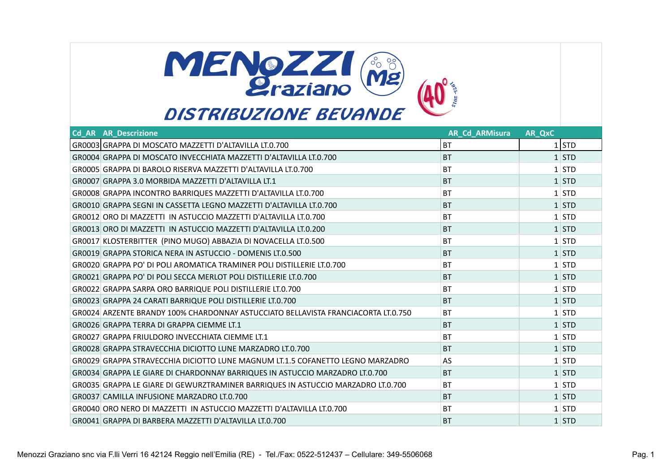

| <b>Cd AR AR Descrizione</b>                                                       | <b>AR Cd ARMisura</b> | AR_QxC |         |
|-----------------------------------------------------------------------------------|-----------------------|--------|---------|
| GR0003 GRAPPA DI MOSCATO MAZZETTI D'ALTAVILLA LT.0.700                            | <b>BT</b>             |        | $1$ STD |
| GR0004 GRAPPA DI MOSCATO INVECCHIATA MAZZETTI D'ALTAVILLA LT.0.700                | <b>BT</b>             |        | $1$ STD |
| GR0005 GRAPPA DI BAROLO RISERVA MAZZETTI D'ALTAVILLA LT.0.700                     | BT                    |        | $1$ STD |
| GR0007 GRAPPA 3.0 MORBIDA MAZZETTI D'ALTAVILLA LT.1                               | <b>BT</b>             |        | $1$ STD |
| GR0008 GRAPPA INCONTRO BARRIQUES MAZZETTI D'ALTAVILLA LT.0.700                    | <b>BT</b>             |        | $1$ STD |
| GR0010 GRAPPA SEGNI IN CASSETTA LEGNO MAZZETTI D'ALTAVILLA LT.0.700               | <b>BT</b>             |        | $1$ STD |
| GR0012 ORO DI MAZZETTI IN ASTUCCIO MAZZETTI D'ALTAVILLA LT.0.700                  | BT                    |        | $1$ STD |
| GR0013 ORO DI MAZZETTI IN ASTUCCIO MAZZETTI D'ALTAVILLA LT.0.200                  | <b>BT</b>             |        | $1$ STD |
| GR0017 KLOSTERBITTER (PINO MUGO) ABBAZIA DI NOVACELLA LT.0.500                    | <b>BT</b>             |        | $1$ STD |
| GR0019 GRAPPA STORICA NERA IN ASTUCCIO - DOMENIS LT.0.500                         | <b>BT</b>             |        | $1$ STD |
| GR0020 GRAPPA PO' DI POLI AROMATICA TRAMINER POLI DISTILLERIE LT.0.700            | <b>BT</b>             |        | $1$ STD |
| GR0021 GRAPPA PO' DI POLI SECCA MERLOT POLI DISTILLERIE LT.0.700                  | <b>BT</b>             |        | $1$ STD |
| GR0022 GRAPPA SARPA ORO BARRIQUE POLI DISTILLERIE LT.0.700                        | <b>BT</b>             |        | $1$ STD |
| GR0023 GRAPPA 24 CARATI BARRIQUE POLI DISTILLERIE LT.0.700                        | <b>BT</b>             |        | $1$ STD |
| GR0024 ARZENTE BRANDY 100% CHARDONNAY ASTUCCIATO BELLAVISTA FRANCIACORTA LT.0.750 | <b>BT</b>             |        | $1$ STD |
| GR0026 GRAPPA TERRA DI GRAPPA CIEMME LT.1                                         | <b>BT</b>             |        | $1$ STD |
| GR0027 GRAPPA FRIULDORO INVECCHIATA CIEMME LT.1                                   | <b>BT</b>             |        | $1$ STD |
| GR0028 GRAPPA STRAVECCHIA DICIOTTO LUNE MARZADRO LT.0.700                         | <b>BT</b>             |        | $1$ STD |
| GR0029 GRAPPA STRAVECCHIA DICIOTTO LUNE MAGNUM LT.1.5 COFANETTO LEGNO MARZADRO    | AS                    |        | $1$ STD |
| GR0034 GRAPPA LE GIARE DI CHARDONNAY BARRIQUES IN ASTUCCIO MARZADRO LT.0.700      | <b>BT</b>             |        | $1$ STD |
| GR0035 GRAPPA LE GIARE DI GEWURZTRAMINER BARRIQUES IN ASTUCCIO MARZADRO LT.0.700  | <b>BT</b>             |        | $1$ STD |
| GR0037 CAMILLA INFUSIONE MARZADRO LT.0.700                                        | <b>BT</b>             |        | $1$ STD |
| GR0040 ORO NERO DI MAZZETTI IN ASTUCCIO MAZZETTI D'ALTAVILLA LT.0.700             | BT                    |        | $1$ STD |
| GR0041 GRAPPA DI BARBERA MAZZETTI D'ALTAVILLA LT.0.700                            | <b>BT</b>             |        | $1$ STD |